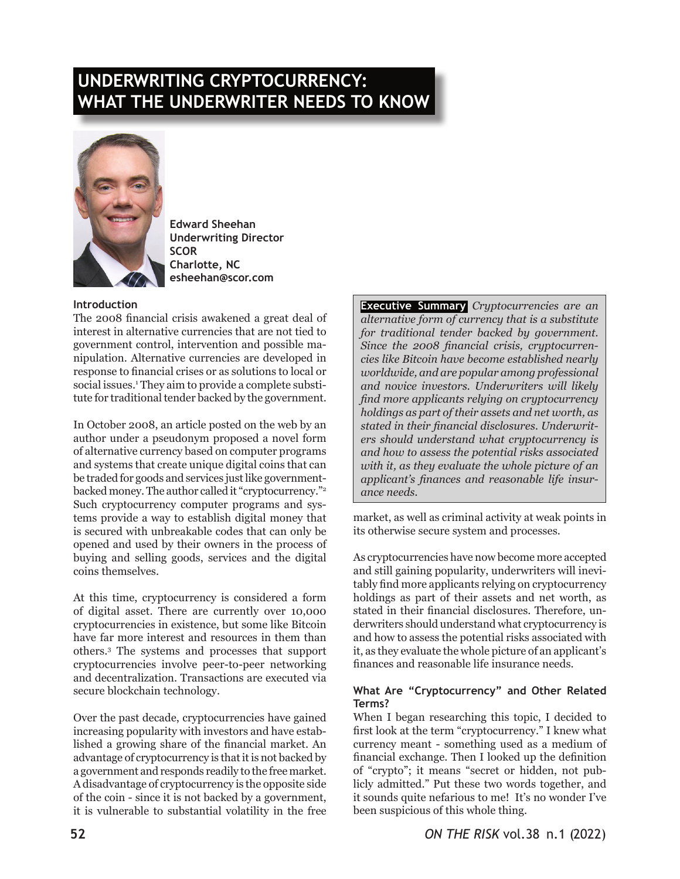# **UNDERWRITING CRYPTOCURRENCY: WHAT THE UNDERWRITER NEEDS TO KNOW**



**Edward Sheehan Underwriting Director SCOR Charlotte, NC esheehan@scor.com**

### **Introduction**

The 2008 financial crisis awakened a great deal of interest in alternative currencies that are not tied to government control, intervention and possible manipulation. Alternative currencies are developed in response to financial crises or as solutions to local or social issues.<sup>1</sup> They aim to provide a complete substitute for traditional tender backed by the government.

In October 2008, an article posted on the web by an author under a pseudonym proposed a novel form of alternative currency based on computer programs and systems that create unique digital coins that can be traded for goods and services just like governmentbacked money. The author called it "cryptocurrency."<sup>2</sup> Such cryptocurrency computer programs and systems provide a way to establish digital money that is secured with unbreakable codes that can only be opened and used by their owners in the process of buying and selling goods, services and the digital coins themselves.

At this time, cryptocurrency is considered a form of digital asset. There are currently over 10,000 cryptocurrencies in existence, but some like Bitcoin have far more interest and resources in them than others.<sup>3</sup> The systems and processes that support cryptocurrencies involve peer-to-peer networking and decentralization. Transactions are executed via secure blockchain technology.

Over the past decade, cryptocurrencies have gained increasing popularity with investors and have established a growing share of the financial market. An advantage of cryptocurrency is that it is not backed by a government and responds readily to the free market. A disadvantage of cryptocurrency is the opposite side of the coin - since it is not backed by a government, it is vulnerable to substantial volatility in the free

**Executive Summary** *Cryptocurrencies are an alternative form of currency that is a substitute for traditional tender backed by government. Since the 2008 financial crisis, cryptocurrencies like Bitcoin have become established nearly worldwide, and are popular among professional and novice investors. Underwriters will likely find more applicants relying on cryptocurrency holdings as part of their assets and net worth, as stated in their financial disclosures. Underwriters should understand what cryptocurrency is and how to assess the potential risks associated with it, as they evaluate the whole picture of an applicant's finances and reasonable life insurance needs.*

market, as well as criminal activity at weak points in its otherwise secure system and processes.

As cryptocurrencies have now become more accepted and still gaining popularity, underwriters will inevitably find more applicants relying on cryptocurrency holdings as part of their assets and net worth, as stated in their financial disclosures. Therefore, underwriters should understand what cryptocurrency is and how to assess the potential risks associated with it, as they evaluate the whole picture of an applicant's finances and reasonable life insurance needs.

### **What Are "Cryptocurrency" and Other Related Terms?**

When I began researching this topic, I decided to first look at the term "cryptocurrency." I knew what currency meant - something used as a medium of financial exchange. Then I looked up the definition of "crypto"; it means "secret or hidden, not publicly admitted." Put these two words together, and it sounds quite nefarious to me! It's no wonder I've been suspicious of this whole thing.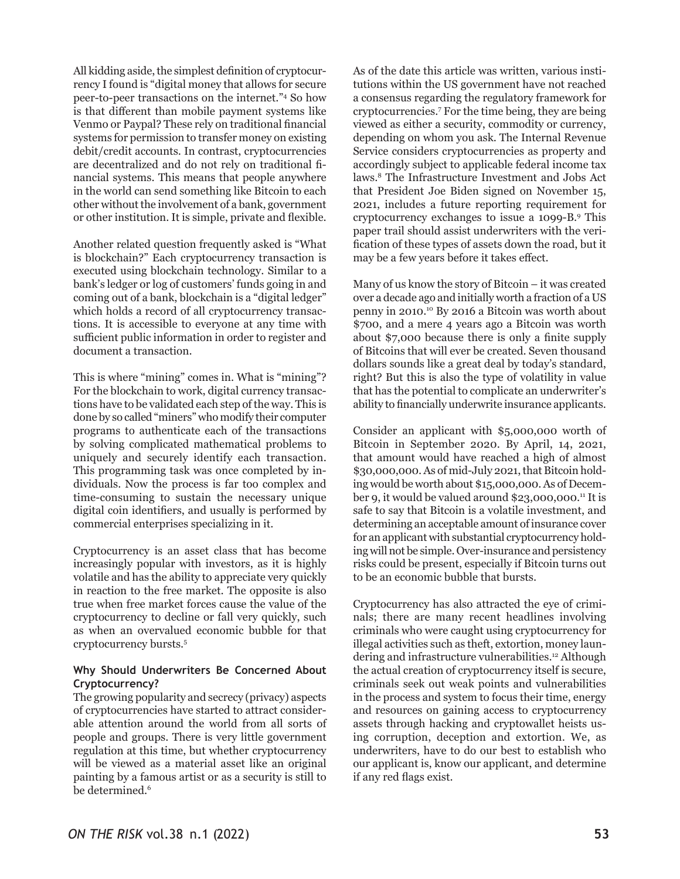All kidding aside, the simplest definition of cryptocurrency I found is "digital money that allows for secure peer-to-peer transactions on the internet."<sup>4</sup> So how is that different than mobile payment systems like Venmo or Paypal? These rely on traditional financial systems for permission to transfer money on existing debit/credit accounts. In contrast, cryptocurrencies are decentralized and do not rely on traditional financial systems. This means that people anywhere in the world can send something like Bitcoin to each other without the involvement of a bank, government or other institution. It is simple, private and flexible.

Another related question frequently asked is "What is blockchain?" Each cryptocurrency transaction is executed using blockchain technology. Similar to a bank's ledger or log of customers' funds going in and coming out of a bank, blockchain is a "digital ledger" which holds a record of all cryptocurrency transactions. It is accessible to everyone at any time with sufficient public information in order to register and document a transaction.

This is where "mining" comes in. What is "mining"? For the blockchain to work, digital currency transactions have to be validated each step of the way. This is done by so called "miners" who modify their computer programs to authenticate each of the transactions by solving complicated mathematical problems to uniquely and securely identify each transaction. This programming task was once completed by individuals. Now the process is far too complex and time-consuming to sustain the necessary unique digital coin identifiers, and usually is performed by commercial enterprises specializing in it.

Cryptocurrency is an asset class that has become increasingly popular with investors, as it is highly volatile and has the ability to appreciate very quickly in reaction to the free market. The opposite is also true when free market forces cause the value of the cryptocurrency to decline or fall very quickly, such as when an overvalued economic bubble for that cryptocurrency bursts.<sup>5</sup>

#### **Why Should Underwriters Be Concerned About Cryptocurrency?**

The growing popularity and secrecy (privacy) aspects of cryptocurrencies have started to attract considerable attention around the world from all sorts of people and groups. There is very little government regulation at this time, but whether cryptocurrency will be viewed as a material asset like an original painting by a famous artist or as a security is still to be determined.<sup>6</sup>

As of the date this article was written, various institutions within the US government have not reached a consensus regarding the regulatory framework for cryptocurrencies.<sup>7</sup> For the time being, they are being viewed as either a security, commodity or currency, depending on whom you ask. The Internal Revenue Service considers cryptocurrencies as property and accordingly subject to applicable federal income tax laws.<sup>8</sup> The Infrastructure Investment and Jobs Act that President Joe Biden signed on November 15, 2021, includes a future reporting requirement for cryptocurrency exchanges to issue a 1099-B.9 This paper trail should assist underwriters with the verification of these types of assets down the road, but it may be a few years before it takes effect.

Many of us know the story of Bitcoin – it was created over a decade ago and initially worth a fraction of a US penny in 2010.<sup>10</sup> By 2016 a Bitcoin was worth about \$700, and a mere 4 years ago a Bitcoin was worth about \$7,000 because there is only a finite supply of Bitcoins that will ever be created. Seven thousand dollars sounds like a great deal by today's standard, right? But this is also the type of volatility in value that has the potential to complicate an underwriter's ability to financially underwrite insurance applicants.

Consider an applicant with \$5,000,000 worth of Bitcoin in September 2020. By April, 14, 2021, that amount would have reached a high of almost \$30,000,000. As of mid-July 2021, that Bitcoin holding would be worth about \$15,000,000. As of December 9, it would be valued around  $$23,000,000$ .<sup>11</sup> It is safe to say that Bitcoin is a volatile investment, and determining an acceptable amount of insurance cover for an applicant with substantial cryptocurrency holding will not be simple. Over-insurance and persistency risks could be present, especially if Bitcoin turns out to be an economic bubble that bursts.

Cryptocurrency has also attracted the eye of criminals; there are many recent headlines involving criminals who were caught using cryptocurrency for illegal activities such as theft, extortion, money laundering and infrastructure vulnerabilities.<sup>12</sup> Although the actual creation of cryptocurrency itself is secure, criminals seek out weak points and vulnerabilities in the process and system to focus their time, energy and resources on gaining access to cryptocurrency assets through hacking and cryptowallet heists using corruption, deception and extortion. We, as underwriters, have to do our best to establish who our applicant is, know our applicant, and determine if any red flags exist.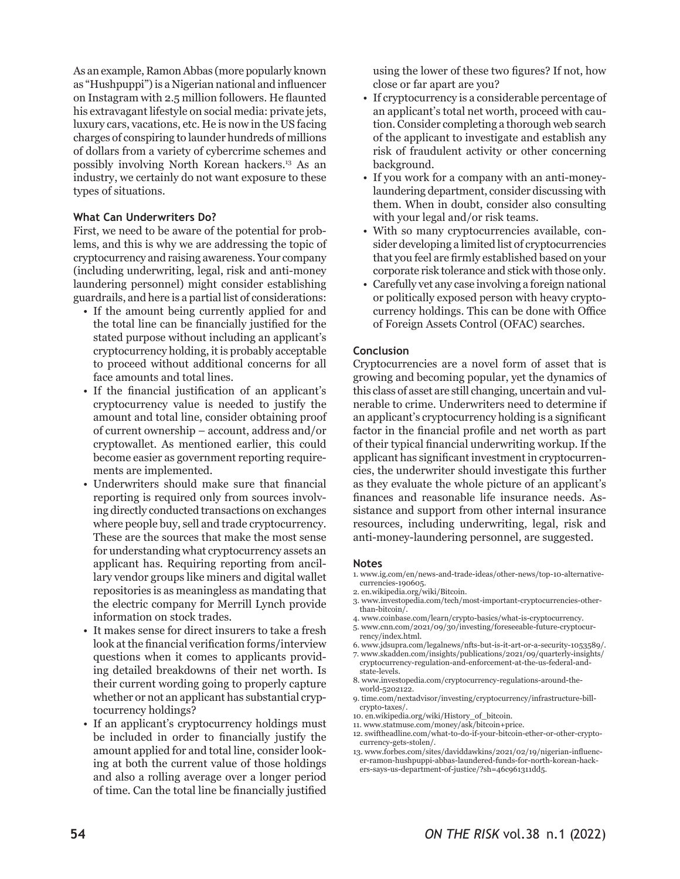As an example, Ramon Abbas (more popularly known as "Hushpuppi") is a Nigerian national and influencer on Instagram with 2.5 million followers. He flaunted his extravagant lifestyle on social media: private jets, luxury cars, vacations, etc. He is now in the US facing charges of conspiring to launder hundreds of millions of dollars from a variety of cybercrime schemes and possibly involving North Korean hackers.<sup>13</sup> As an industry, we certainly do not want exposure to these types of situations.

#### **What Can Underwriters Do?**

First, we need to be aware of the potential for problems, and this is why we are addressing the topic of cryptocurrency and raising awareness. Your company (including underwriting, legal, risk and anti-money laundering personnel) might consider establishing guardrails, and here is a partial list of considerations:

- If the amount being currently applied for and the total line can be financially justified for the stated purpose without including an applicant's cryptocurrency holding, it is probably acceptable to proceed without additional concerns for all face amounts and total lines.
- If the financial justification of an applicant's cryptocurrency value is needed to justify the amount and total line, consider obtaining proof of current ownership – account, address and/or cryptowallet. As mentioned earlier, this could become easier as government reporting requirements are implemented.
- Underwriters should make sure that financial reporting is required only from sources involving directly conducted transactions on exchanges where people buy, sell and trade cryptocurrency. These are the sources that make the most sense for understanding what cryptocurrency assets an applicant has. Requiring reporting from ancillary vendor groups like miners and digital wallet repositories is as meaningless as mandating that the electric company for Merrill Lynch provide information on stock trades.
- It makes sense for direct insurers to take a fresh look at the financial verification forms/interview questions when it comes to applicants providing detailed breakdowns of their net worth. Is their current wording going to properly capture whether or not an applicant has substantial cryptocurrency holdings?
- If an applicant's cryptocurrency holdings must be included in order to financially justify the amount applied for and total line, consider looking at both the current value of those holdings and also a rolling average over a longer period of time. Can the total line be financially justified

using the lower of these two figures? If not, how close or far apart are you?

- If cryptocurrency is a considerable percentage of an applicant's total net worth, proceed with caution. Consider completing a thorough web search of the applicant to investigate and establish any risk of fraudulent activity or other concerning background.
- If you work for a company with an anti-moneylaundering department, consider discussing with them. When in doubt, consider also consulting with your legal and/or risk teams.
- With so many cryptocurrencies available, consider developing a limited list of cryptocurrencies that you feel are firmly established based on your corporate risk tolerance and stick with those only.
- Carefully vet any case involving a foreign national or politically exposed person with heavy cryptocurrency holdings. This can be done with Office of Foreign Assets Control (OFAC) searches.

#### **Conclusion**

Cryptocurrencies are a novel form of asset that is growing and becoming popular, yet the dynamics of this class of asset are still changing, uncertain and vulnerable to crime. Underwriters need to determine if an applicant's cryptocurrency holding is a significant factor in the financial profile and net worth as part of their typical financial underwriting workup. If the applicant has significant investment in cryptocurrencies, the underwriter should investigate this further as they evaluate the whole picture of an applicant's finances and reasonable life insurance needs. Assistance and support from other internal insurance resources, including underwriting, legal, risk and anti-money-laundering personnel, are suggested.

#### **Notes**

- 1. www.ig.com/en/news-and-trade-ideas/other-news/top-10-alternativecurrencies-190605.
- 2. en.wikipedia.org/wiki/Bitcoin.
- 3. www.investopedia.com/tech/most-important-cryptocurrencies-otherthan-bitcoin/.
- 4. www.coinbase.com/learn/crypto-basics/what-is-cryptocurrency.
- 5. www.cnn.com/2021/09/30/investing/foreseeable-future-cryptocurrency/index.html.
- 6. www.jdsupra.com/legalnews/nfts-but-is-it-art-or-a-security-1053589/.
- 7. www.skadden.com/insights/publications/2021/09/quarterly-insights/ cryptocurrency-regulation-and-enforcement-at-the-us-federal-andstate-levels.
- 8. www.investopedia.com/cryptocurrency-regulations-around-theworld-5202122.
- 9. time.com/nextadvisor/investing/cryptocurrency/infrastructure-billcrypto-taxes/.
- 10. en.wikipedia.org/wiki/History\_of\_bitcoin.
- 11. www.statmuse.com/money/ask/bitcoin+price.
- 12. swiftheadline.com/what-to-do-if-your-bitcoin-ether-or-other-cryptocurrency-gets-stolen/.
- 13. www.forbes.com/sites/daviddawkins/2021/02/19/nigerian-influencer-ramon-hushpuppi-abbas-laundered-funds-for-north-korean-hackers-says-us-department-of-justice/?sh=46c961311dd5.